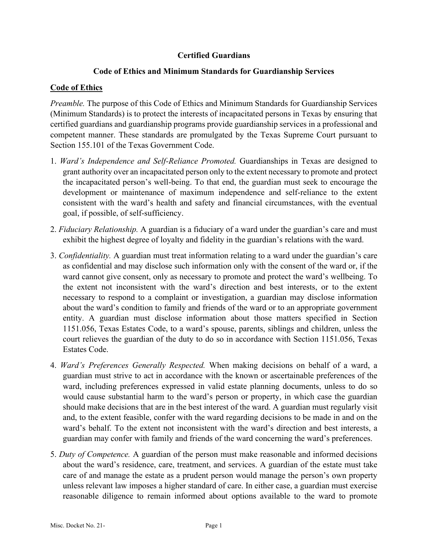# **Certified Guardians**

# **Code of Ethics and Minimum Standards for Guardianship Services**

# **Code of Ethics**

*Preamble.* The purpose of this Code of Ethics and Minimum Standards for Guardianship Services (Minimum Standards) is to protect the interests of incapacitated persons in Texas by ensuring that certified guardians and guardianship programs provide guardianship services in a professional and competent manner. These standards are promulgated by the Texas Supreme Court pursuant to Section 155.101 of the Texas Government Code.

- 1. *Ward's Independence and Self-Reliance Promoted.* Guardianships in Texas are designed to grant authority over an incapacitated person only to the extent necessary to promote and protect the incapacitated person's well-being. To that end, the guardian must seek to encourage the development or maintenance of maximum independence and self-reliance to the extent consistent with the ward's health and safety and financial circumstances, with the eventual goal, if possible, of self-sufficiency.
- 2. *Fiduciary Relationship.* A guardian is a fiduciary of a ward under the guardian's care and must exhibit the highest degree of loyalty and fidelity in the guardian's relations with the ward.
- 3. *Confidentiality.* A guardian must treat information relating to a ward under the guardian's care as confidential and may disclose such information only with the consent of the ward or, if the ward cannot give consent, only as necessary to promote and protect the ward's wellbeing. To the extent not inconsistent with the ward's direction and best interests, or to the extent necessary to respond to a complaint or investigation, a guardian may disclose information about the ward's condition to family and friends of the ward or to an appropriate government entity. A guardian must disclose information about those matters specified in Section 1151.056, Texas Estates Code, to a ward's spouse, parents, siblings and children, unless the court relieves the guardian of the duty to do so in accordance with Section 1151.056, Texas Estates Code.
- 4. *Ward's Preferences Generally Respected.* When making decisions on behalf of a ward, a guardian must strive to act in accordance with the known or ascertainable preferences of the ward, including preferences expressed in valid estate planning documents, unless to do so would cause substantial harm to the ward's person or property, in which case the guardian should make decisions that are in the best interest of the ward. A guardian must regularly visit and, to the extent feasible, confer with the ward regarding decisions to be made in and on the ward's behalf. To the extent not inconsistent with the ward's direction and best interests, a guardian may confer with family and friends of the ward concerning the ward's preferences.
- 5. *Duty of Competence.* A guardian of the person must make reasonable and informed decisions about the ward's residence, care, treatment, and services. A guardian of the estate must take care of and manage the estate as a prudent person would manage the person's own property unless relevant law imposes a higher standard of care. In either case, a guardian must exercise reasonable diligence to remain informed about options available to the ward to promote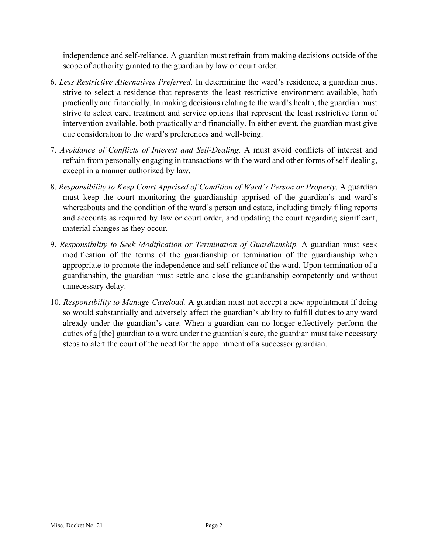independence and self-reliance. A guardian must refrain from making decisions outside of the scope of authority granted to the guardian by law or court order.

- 6. *Less Restrictive Alternatives Preferred.* In determining the ward's residence, a guardian must strive to select a residence that represents the least restrictive environment available, both practically and financially. In making decisions relating to the ward's health, the guardian must strive to select care, treatment and service options that represent the least restrictive form of intervention available, both practically and financially. In either event, the guardian must give due consideration to the ward's preferences and well-being.
- 7. *Avoidance of Conflicts of Interest and Self-Dealing.* A must avoid conflicts of interest and refrain from personally engaging in transactions with the ward and other forms of self-dealing, except in a manner authorized by law.
- 8. *Responsibility to Keep Court Apprised of Condition of Ward's Person or Property*. A guardian must keep the court monitoring the guardianship apprised of the guardian's and ward's whereabouts and the condition of the ward's person and estate, including timely filing reports and accounts as required by law or court order, and updating the court regarding significant, material changes as they occur.
- 9. *Responsibility to Seek Modification or Termination of Guardianship.* A guardian must seek modification of the terms of the guardianship or termination of the guardianship when appropriate to promote the independence and self-reliance of the ward. Upon termination of a guardianship, the guardian must settle and close the guardianship competently and without unnecessary delay.
- 10. *Responsibility to Manage Caseload.* A guardian must not accept a new appointment if doing so would substantially and adversely affect the guardian's ability to fulfill duties to any ward already under the guardian's care. When a guardian can no longer effectively perform the duties of  $\frac{1}{a}$  [the] guardian to a ward under the guardian's care, the guardian must take necessary steps to alert the court of the need for the appointment of a successor guardian.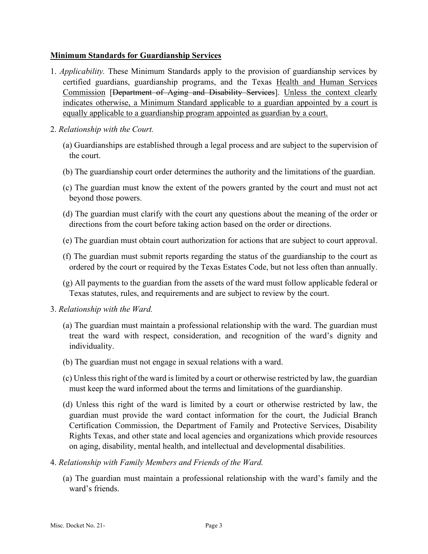### **Minimum Standards for Guardianship Services**

- 1. *Applicability.* These Minimum Standards apply to the provision of guardianship services by certified guardians, guardianship programs, and the Texas Health and Human Services Commission [Department of Aging and Disability Services]. Unless the context clearly indicates otherwise, a Minimum Standard applicable to a guardian appointed by a court is equally applicable to a guardianship program appointed as guardian by a court.
- 2. *Relationship with the Court.*
	- (a) Guardianships are established through a legal process and are subject to the supervision of the court.
	- (b) The guardianship court order determines the authority and the limitations of the guardian.
	- (c) The guardian must know the extent of the powers granted by the court and must not act beyond those powers.
	- (d) The guardian must clarify with the court any questions about the meaning of the order or directions from the court before taking action based on the order or directions.
	- (e) The guardian must obtain court authorization for actions that are subject to court approval.
	- (f) The guardian must submit reports regarding the status of the guardianship to the court as ordered by the court or required by the Texas Estates Code, but not less often than annually.
	- (g) All payments to the guardian from the assets of the ward must follow applicable federal or Texas statutes, rules, and requirements and are subject to review by the court.
- 3. *Relationship with the Ward.*
	- (a) The guardian must maintain a professional relationship with the ward. The guardian must treat the ward with respect, consideration, and recognition of the ward's dignity and individuality.
	- (b) The guardian must not engage in sexual relations with a ward.
	- (c) Unless this right of the ward is limited by a court or otherwise restricted by law, the guardian must keep the ward informed about the terms and limitations of the guardianship.
	- (d) Unless this right of the ward is limited by a court or otherwise restricted by law, the guardian must provide the ward contact information for the court, the Judicial Branch Certification Commission, the Department of Family and Protective Services, Disability Rights Texas, and other state and local agencies and organizations which provide resources on aging, disability, mental health, and intellectual and developmental disabilities.
- 4. *Relationship with Family Members and Friends of the Ward.*
	- (a) The guardian must maintain a professional relationship with the ward's family and the ward's friends.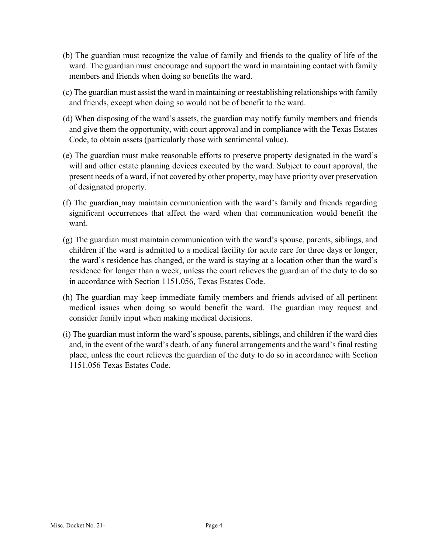- (b) The guardian must recognize the value of family and friends to the quality of life of the ward. The guardian must encourage and support the ward in maintaining contact with family members and friends when doing so benefits the ward.
- (c) The guardian must assist the ward in maintaining or reestablishing relationships with family and friends, except when doing so would not be of benefit to the ward.
- (d) When disposing of the ward's assets, the guardian may notify family members and friends and give them the opportunity, with court approval and in compliance with the Texas Estates Code, to obtain assets (particularly those with sentimental value).
- (e) The guardian must make reasonable efforts to preserve property designated in the ward's will and other estate planning devices executed by the ward. Subject to court approval, the present needs of a ward, if not covered by other property, may have priority over preservation of designated property.
- (f) The guardian may maintain communication with the ward's family and friends regarding significant occurrences that affect the ward when that communication would benefit the ward.
- (g) The guardian must maintain communication with the ward's spouse, parents, siblings, and children if the ward is admitted to a medical facility for acute care for three days or longer, the ward's residence has changed, or the ward is staying at a location other than the ward's residence for longer than a week, unless the court relieves the guardian of the duty to do so in accordance with Section 1151.056, Texas Estates Code.
- (h) The guardian may keep immediate family members and friends advised of all pertinent medical issues when doing so would benefit the ward. The guardian may request and consider family input when making medical decisions.
- (i) The guardian must inform the ward's spouse, parents, siblings, and children if the ward dies and, in the event of the ward's death, of any funeral arrangements and the ward's final resting place, unless the court relieves the guardian of the duty to do so in accordance with Section 1151.056 Texas Estates Code.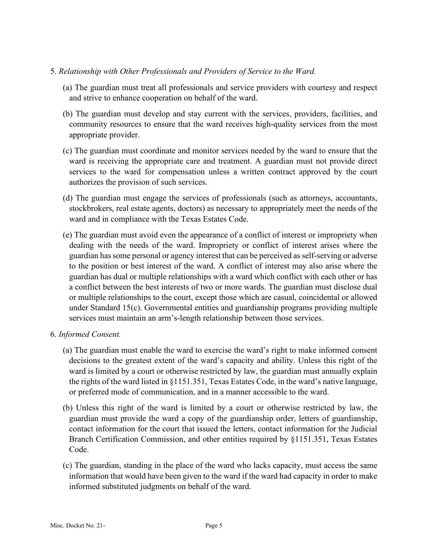### 5. *Relationship with Other Professionals and Providers of Service to the Ward.*

- (a) The guardian must treat all professionals and service providers with courtesy and respect and strive to enhance cooperation on behalf of the ward.
- (b) The guardian must develop and stay current with the services, providers, facilities, and community resources to ensure that the ward receives high-quality services from the most appropriate provider.
- (c) The guardian must coordinate and monitor services needed by the ward to ensure that the ward is receiving the appropriate care and treatment. A guardian must not provide direct services to the ward for compensation unless a written contract approved by the court authorizes the provision of such services.
- (d) The guardian must engage the services of professionals (such as attorneys, accountants, stockbrokers, real estate agents, doctors) as necessary to appropriately meet the needs of the ward and in compliance with the Texas Estates Code.
- (e) The guardian must avoid even the appearance of a conflict of interest or impropriety when dealing with the needs of the ward. Impropriety or conflict of interest arises where the guardian has some personal or agency interest that can be perceived as self-serving or adverse to the position or best interest of the ward. A conflict of interest may also arise where the guardian has dual or multiple relationships with a ward which conflict with each other or has a conflict between the best interests of two or more wards. The guardian must disclose dual or multiple relationships to the court, except those which are casual, coincidental or allowed under Standard 15(c). Governmental entities and guardianship programs providing multiple services must maintain an arm's-length relationship between those services.
- 6. *Informed Consent.*
	- (a) The guardian must enable the ward to exercise the ward's right to make informed consent decisions to the greatest extent of the ward's capacity and ability. Unless this right of the ward is limited by a court or otherwise restricted by law, the guardian must annually explain the rights of the ward listed in §1151.351, Texas Estates Code, in the ward's native language, or preferred mode of communication, and in a manner accessible to the ward.
	- (b) Unless this right of the ward is limited by a court or otherwise restricted by law, the guardian must provide the ward a copy of the guardianship order, letters of guardianship, contact information for the court that issued the letters, contact information for the Judicial Branch Certification Commission, and other entities required by §1151.351, Texas Estates Code.
	- (c) The guardian, standing in the place of the ward who lacks capacity, must access the same information that would have been given to the ward if the ward had capacity in order to make informed substituted judgments on behalf of the ward.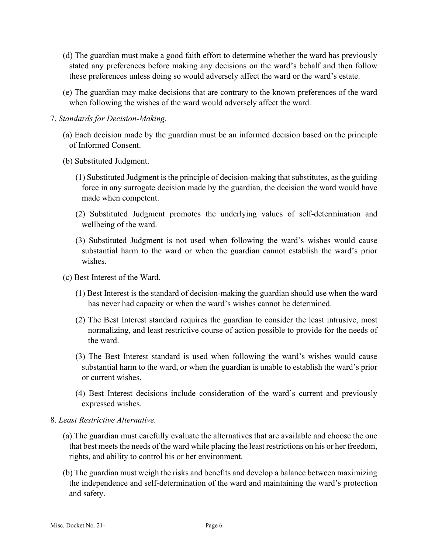- (d) The guardian must make a good faith effort to determine whether the ward has previously stated any preferences before making any decisions on the ward's behalf and then follow these preferences unless doing so would adversely affect the ward or the ward's estate.
- (e) The guardian may make decisions that are contrary to the known preferences of the ward when following the wishes of the ward would adversely affect the ward.
- 7. *Standards for Decision-Making.*
	- (a) Each decision made by the guardian must be an informed decision based on the principle of Informed Consent.
	- (b) Substituted Judgment.
		- (1) Substituted Judgment is the principle of decision-making that substitutes, as the guiding force in any surrogate decision made by the guardian, the decision the ward would have made when competent.
		- (2) Substituted Judgment promotes the underlying values of self-determination and wellbeing of the ward.
		- (3) Substituted Judgment is not used when following the ward's wishes would cause substantial harm to the ward or when the guardian cannot establish the ward's prior wishes.
	- (c) Best Interest of the Ward.
		- (1) Best Interest is the standard of decision-making the guardian should use when the ward has never had capacity or when the ward's wishes cannot be determined.
		- (2) The Best Interest standard requires the guardian to consider the least intrusive, most normalizing, and least restrictive course of action possible to provide for the needs of the ward.
		- (3) The Best Interest standard is used when following the ward's wishes would cause substantial harm to the ward, or when the guardian is unable to establish the ward's prior or current wishes.
		- (4) Best Interest decisions include consideration of the ward's current and previously expressed wishes.

### 8. *Least Restrictive Alternative.*

- (a) The guardian must carefully evaluate the alternatives that are available and choose the one that best meets the needs of the ward while placing the least restrictions on his or her freedom, rights, and ability to control his or her environment.
- (b) The guardian must weigh the risks and benefits and develop a balance between maximizing the independence and self-determination of the ward and maintaining the ward's protection and safety.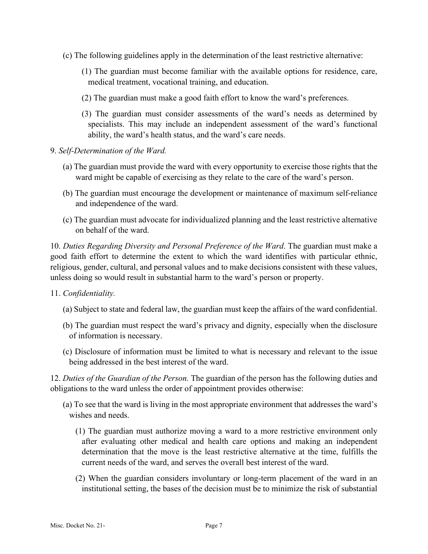- (c) The following guidelines apply in the determination of the least restrictive alternative:
	- (1) The guardian must become familiar with the available options for residence, care, medical treatment, vocational training, and education.
	- (2) The guardian must make a good faith effort to know the ward's preferences.
	- (3) The guardian must consider assessments of the ward's needs as determined by specialists. This may include an independent assessment of the ward's functional ability, the ward's health status, and the ward's care needs.
- 9. *Self-Determination of the Ward.*
	- (a) The guardian must provide the ward with every opportunity to exercise those rights that the ward might be capable of exercising as they relate to the care of the ward's person.
	- (b) The guardian must encourage the development or maintenance of maximum self-reliance and independence of the ward.
	- (c) The guardian must advocate for individualized planning and the least restrictive alternative on behalf of the ward.

10. *Duties Regarding Diversity and Personal Preference of the Ward*. The guardian must make a good faith effort to determine the extent to which the ward identifies with particular ethnic, religious, gender, cultural, and personal values and to make decisions consistent with these values, unless doing so would result in substantial harm to the ward's person or property.

- 11. *Confidentiality.*
	- (a) Subject to state and federal law, the guardian must keep the affairs of the ward confidential.
	- (b) The guardian must respect the ward's privacy and dignity, especially when the disclosure of information is necessary.
	- (c) Disclosure of information must be limited to what is necessary and relevant to the issue being addressed in the best interest of the ward.

12. *Duties of the Guardian of the Person.* The guardian of the person has the following duties and obligations to the ward unless the order of appointment provides otherwise:

- (a) To see that the ward is living in the most appropriate environment that addresses the ward's wishes and needs.
	- (1) The guardian must authorize moving a ward to a more restrictive environment only after evaluating other medical and health care options and making an independent determination that the move is the least restrictive alternative at the time, fulfills the current needs of the ward, and serves the overall best interest of the ward.
	- (2) When the guardian considers involuntary or long-term placement of the ward in an institutional setting, the bases of the decision must be to minimize the risk of substantial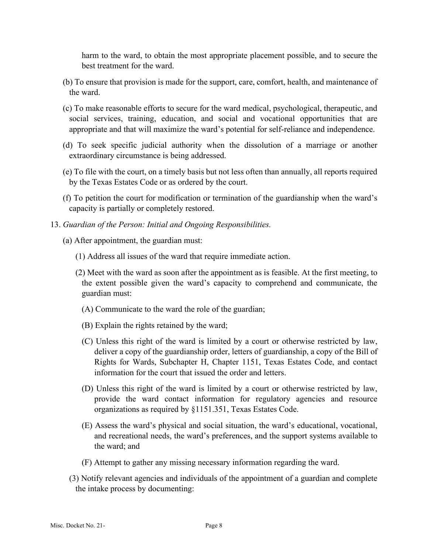harm to the ward, to obtain the most appropriate placement possible, and to secure the best treatment for the ward.

- (b) To ensure that provision is made for the support, care, comfort, health, and maintenance of the ward.
- (c) To make reasonable efforts to secure for the ward medical, psychological, therapeutic, and social services, training, education, and social and vocational opportunities that are appropriate and that will maximize the ward's potential for self-reliance and independence.
- (d) To seek specific judicial authority when the dissolution of a marriage or another extraordinary circumstance is being addressed.
- (e) To file with the court, on a timely basis but not less often than annually, all reports required by the Texas Estates Code or as ordered by the court.
- (f) To petition the court for modification or termination of the guardianship when the ward's capacity is partially or completely restored.
- 13. *Guardian of the Person: Initial and Ongoing Responsibilities.*
	- (a) After appointment, the guardian must:
		- (1) Address all issues of the ward that require immediate action.
		- (2) Meet with the ward as soon after the appointment as is feasible. At the first meeting, to the extent possible given the ward's capacity to comprehend and communicate, the guardian must:
			- (A) Communicate to the ward the role of the guardian;
			- (B) Explain the rights retained by the ward;
			- (C) Unless this right of the ward is limited by a court or otherwise restricted by law, deliver a copy of the guardianship order, letters of guardianship, a copy of the Bill of Rights for Wards, Subchapter H, Chapter 1151, Texas Estates Code, and contact information for the court that issued the order and letters.
			- (D) Unless this right of the ward is limited by a court or otherwise restricted by law, provide the ward contact information for regulatory agencies and resource organizations as required by §1151.351, Texas Estates Code.
			- (E) Assess the ward's physical and social situation, the ward's educational, vocational, and recreational needs, the ward's preferences, and the support systems available to the ward; and
			- (F) Attempt to gather any missing necessary information regarding the ward.
		- (3) Notify relevant agencies and individuals of the appointment of a guardian and complete the intake process by documenting: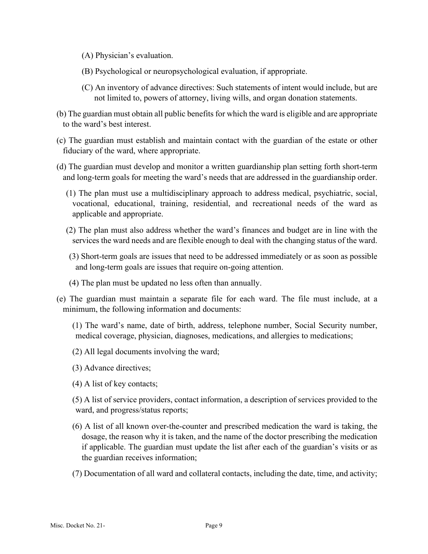- (A) Physician's evaluation.
- (B) Psychological or neuropsychological evaluation, if appropriate.
- (C) An inventory of advance directives: Such statements of intent would include, but are not limited to, powers of attorney, living wills, and organ donation statements.
- (b) The guardian must obtain all public benefits for which the ward is eligible and are appropriate to the ward's best interest.
- (c) The guardian must establish and maintain contact with the guardian of the estate or other fiduciary of the ward, where appropriate.
- (d) The guardian must develop and monitor a written guardianship plan setting forth short-term and long-term goals for meeting the ward's needs that are addressed in the guardianship order.
	- (1) The plan must use a multidisciplinary approach to address medical, psychiatric, social, vocational, educational, training, residential, and recreational needs of the ward as applicable and appropriate.
	- (2) The plan must also address whether the ward's finances and budget are in line with the services the ward needs and are flexible enough to deal with the changing status of the ward.
	- (3) Short-term goals are issues that need to be addressed immediately or as soon as possible and long-term goals are issues that require on-going attention.
	- (4) The plan must be updated no less often than annually.
- (e) The guardian must maintain a separate file for each ward. The file must include, at a minimum, the following information and documents:
	- (1) The ward's name, date of birth, address, telephone number, Social Security number, medical coverage, physician, diagnoses, medications, and allergies to medications;
	- (2) All legal documents involving the ward;
	- (3) Advance directives;
	- (4) A list of key contacts;
	- (5) A list of service providers, contact information, a description of services provided to the ward, and progress/status reports;
	- (6) A list of all known over-the-counter and prescribed medication the ward is taking, the dosage, the reason why it is taken, and the name of the doctor prescribing the medication if applicable. The guardian must update the list after each of the guardian's visits or as the guardian receives information;
	- (7) Documentation of all ward and collateral contacts, including the date, time, and activity;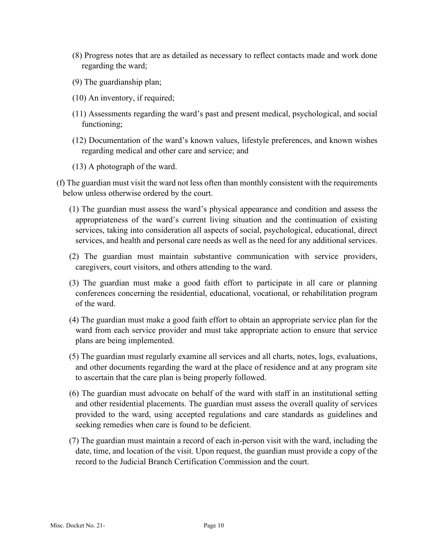- (8) Progress notes that are as detailed as necessary to reflect contacts made and work done regarding the ward;
- (9) The guardianship plan;
- (10) An inventory, if required;
- (11) Assessments regarding the ward's past and present medical, psychological, and social functioning;
- (12) Documentation of the ward's known values, lifestyle preferences, and known wishes regarding medical and other care and service; and
- (13) A photograph of the ward.
- (f) The guardian must visit the ward not less often than monthly consistent with the requirements below unless otherwise ordered by the court.
	- (1) The guardian must assess the ward's physical appearance and condition and assess the appropriateness of the ward's current living situation and the continuation of existing services, taking into consideration all aspects of social, psychological, educational, direct services, and health and personal care needs as well as the need for any additional services.
	- (2) The guardian must maintain substantive communication with service providers, caregivers, court visitors, and others attending to the ward.
	- (3) The guardian must make a good faith effort to participate in all care or planning conferences concerning the residential, educational, vocational, or rehabilitation program of the ward.
	- (4) The guardian must make a good faith effort to obtain an appropriate service plan for the ward from each service provider and must take appropriate action to ensure that service plans are being implemented.
	- (5) The guardian must regularly examine all services and all charts, notes, logs, evaluations, and other documents regarding the ward at the place of residence and at any program site to ascertain that the care plan is being properly followed.
	- (6) The guardian must advocate on behalf of the ward with staff in an institutional setting and other residential placements. The guardian must assess the overall quality of services provided to the ward, using accepted regulations and care standards as guidelines and seeking remedies when care is found to be deficient.
	- (7) The guardian must maintain a record of each in-person visit with the ward, including the date, time, and location of the visit. Upon request, the guardian must provide a copy of the record to the Judicial Branch Certification Commission and the court.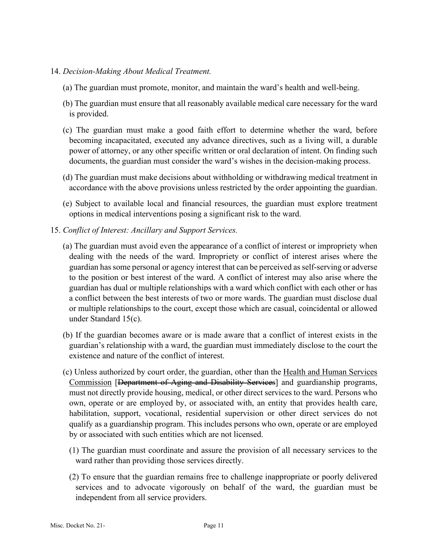#### 14. *Decision-Making About Medical Treatment.*

- (a) The guardian must promote, monitor, and maintain the ward's health and well-being.
- (b) The guardian must ensure that all reasonably available medical care necessary for the ward is provided.
- (c) The guardian must make a good faith effort to determine whether the ward, before becoming incapacitated, executed any advance directives, such as a living will, a durable power of attorney, or any other specific written or oral declaration of intent. On finding such documents, the guardian must consider the ward's wishes in the decision-making process.
- (d) The guardian must make decisions about withholding or withdrawing medical treatment in accordance with the above provisions unless restricted by the order appointing the guardian.
- (e) Subject to available local and financial resources, the guardian must explore treatment options in medical interventions posing a significant risk to the ward.
- 15. *Conflict of Interest: Ancillary and Support Services.*
	- (a) The guardian must avoid even the appearance of a conflict of interest or impropriety when dealing with the needs of the ward. Impropriety or conflict of interest arises where the guardian has some personal or agency interest that can be perceived as self-serving or adverse to the position or best interest of the ward. A conflict of interest may also arise where the guardian has dual or multiple relationships with a ward which conflict with each other or has a conflict between the best interests of two or more wards. The guardian must disclose dual or multiple relationships to the court, except those which are casual, coincidental or allowed under Standard 15(c).
	- (b) If the guardian becomes aware or is made aware that a conflict of interest exists in the guardian's relationship with a ward, the guardian must immediately disclose to the court the existence and nature of the conflict of interest.
	- (c) Unless authorized by court order, the guardian, other than the Health and Human Services Commission [Department of Aging and Disability Services] and guardianship programs, must not directly provide housing, medical, or other direct services to the ward. Persons who own, operate or are employed by, or associated with, an entity that provides health care, habilitation, support, vocational, residential supervision or other direct services do not qualify as a guardianship program. This includes persons who own, operate or are employed by or associated with such entities which are not licensed.
		- (1) The guardian must coordinate and assure the provision of all necessary services to the ward rather than providing those services directly.
		- (2) To ensure that the guardian remains free to challenge inappropriate or poorly delivered services and to advocate vigorously on behalf of the ward, the guardian must be independent from all service providers.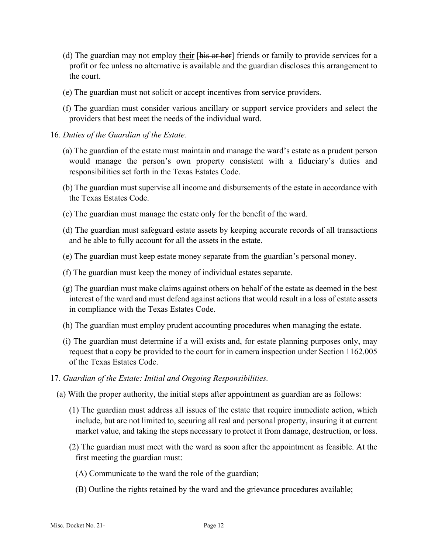- (d) The guardian may not employ their  $[\overline{\text{his or her}}]$  friends or family to provide services for a profit or fee unless no alternative is available and the guardian discloses this arrangement to the court.
- (e) The guardian must not solicit or accept incentives from service providers.
- (f) The guardian must consider various ancillary or support service providers and select the providers that best meet the needs of the individual ward.
- 16*. Duties of the Guardian of the Estate.*
	- (a) The guardian of the estate must maintain and manage the ward's estate as a prudent person would manage the person's own property consistent with a fiduciary's duties and responsibilities set forth in the Texas Estates Code.
	- (b) The guardian must supervise all income and disbursements of the estate in accordance with the Texas Estates Code.
	- (c) The guardian must manage the estate only for the benefit of the ward.
	- (d) The guardian must safeguard estate assets by keeping accurate records of all transactions and be able to fully account for all the assets in the estate.
	- (e) The guardian must keep estate money separate from the guardian's personal money.
	- (f) The guardian must keep the money of individual estates separate.
	- (g) The guardian must make claims against others on behalf of the estate as deemed in the best interest of the ward and must defend against actions that would result in a loss of estate assets in compliance with the Texas Estates Code.
	- (h) The guardian must employ prudent accounting procedures when managing the estate.
	- (i) The guardian must determine if a will exists and, for estate planning purposes only, may request that a copy be provided to the court for in camera inspection under Section 1162.005 of the Texas Estates Code.
- 17. *Guardian of the Estate: Initial and Ongoing Responsibilities.*
	- (a) With the proper authority, the initial steps after appointment as guardian are as follows:
		- (1) The guardian must address all issues of the estate that require immediate action, which include, but are not limited to, securing all real and personal property, insuring it at current market value, and taking the steps necessary to protect it from damage, destruction, or loss.
		- (2) The guardian must meet with the ward as soon after the appointment as feasible. At the first meeting the guardian must:
			- (A) Communicate to the ward the role of the guardian;
			- (B) Outline the rights retained by the ward and the grievance procedures available;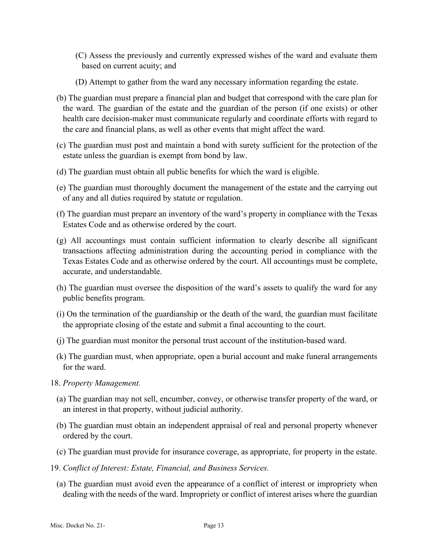- (C) Assess the previously and currently expressed wishes of the ward and evaluate them based on current acuity; and
- (D) Attempt to gather from the ward any necessary information regarding the estate.
- (b) The guardian must prepare a financial plan and budget that correspond with the care plan for the ward. The guardian of the estate and the guardian of the person (if one exists) or other health care decision-maker must communicate regularly and coordinate efforts with regard to the care and financial plans, as well as other events that might affect the ward.
- (c) The guardian must post and maintain a bond with surety sufficient for the protection of the estate unless the guardian is exempt from bond by law.
- (d) The guardian must obtain all public benefits for which the ward is eligible.
- (e) The guardian must thoroughly document the management of the estate and the carrying out of any and all duties required by statute or regulation.
- (f) The guardian must prepare an inventory of the ward's property in compliance with the Texas Estates Code and as otherwise ordered by the court.
- (g) All accountings must contain sufficient information to clearly describe all significant transactions affecting administration during the accounting period in compliance with the Texas Estates Code and as otherwise ordered by the court. All accountings must be complete, accurate, and understandable.
- (h) The guardian must oversee the disposition of the ward's assets to qualify the ward for any public benefits program.
- (i) On the termination of the guardianship or the death of the ward, the guardian must facilitate the appropriate closing of the estate and submit a final accounting to the court.
- (j) The guardian must monitor the personal trust account of the institution-based ward.
- (k) The guardian must, when appropriate, open a burial account and make funeral arrangements for the ward.
- 18. *Property Management.*
	- (a) The guardian may not sell, encumber, convey, or otherwise transfer property of the ward, or an interest in that property, without judicial authority.
	- (b) The guardian must obtain an independent appraisal of real and personal property whenever ordered by the court.
	- (c) The guardian must provide for insurance coverage, as appropriate, for property in the estate.
- 19. *Conflict of Interest: Estate, Financial, and Business Services.*
	- (a) The guardian must avoid even the appearance of a conflict of interest or impropriety when dealing with the needs of the ward. Impropriety or conflict of interest arises where the guardian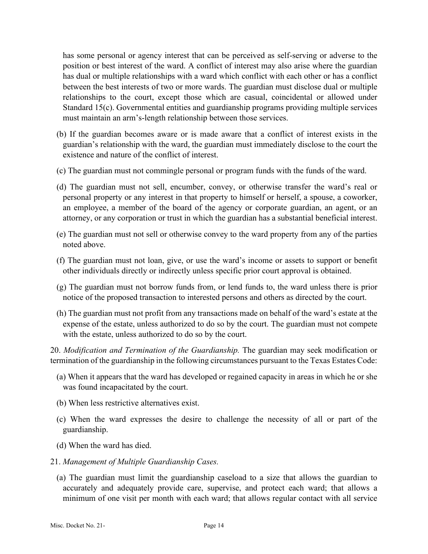has some personal or agency interest that can be perceived as self-serving or adverse to the position or best interest of the ward. A conflict of interest may also arise where the guardian has dual or multiple relationships with a ward which conflict with each other or has a conflict between the best interests of two or more wards. The guardian must disclose dual or multiple relationships to the court, except those which are casual, coincidental or allowed under Standard 15(c). Governmental entities and guardianship programs providing multiple services must maintain an arm's-length relationship between those services.

- (b) If the guardian becomes aware or is made aware that a conflict of interest exists in the guardian's relationship with the ward, the guardian must immediately disclose to the court the existence and nature of the conflict of interest.
- (c) The guardian must not commingle personal or program funds with the funds of the ward.
- (d) The guardian must not sell, encumber, convey, or otherwise transfer the ward's real or personal property or any interest in that property to himself or herself, a spouse, a coworker, an employee, a member of the board of the agency or corporate guardian, an agent, or an attorney, or any corporation or trust in which the guardian has a substantial beneficial interest.
- (e) The guardian must not sell or otherwise convey to the ward property from any of the parties noted above.
- (f) The guardian must not loan, give, or use the ward's income or assets to support or benefit other individuals directly or indirectly unless specific prior court approval is obtained.
- (g) The guardian must not borrow funds from, or lend funds to, the ward unless there is prior notice of the proposed transaction to interested persons and others as directed by the court.
- (h) The guardian must not profit from any transactions made on behalf of the ward's estate at the expense of the estate, unless authorized to do so by the court. The guardian must not compete with the estate, unless authorized to do so by the court.

20. *Modification and Termination of the Guardianship.* The guardian may seek modification or termination of the guardianship in the following circumstances pursuant to the Texas Estates Code:

- (a) When it appears that the ward has developed or regained capacity in areas in which he or she was found incapacitated by the court.
- (b) When less restrictive alternatives exist.
- (c) When the ward expresses the desire to challenge the necessity of all or part of the guardianship.
- (d) When the ward has died.
- 21. *Management of Multiple Guardianship Cases.*
	- (a) The guardian must limit the guardianship caseload to a size that allows the guardian to accurately and adequately provide care, supervise, and protect each ward; that allows a minimum of one visit per month with each ward; that allows regular contact with all service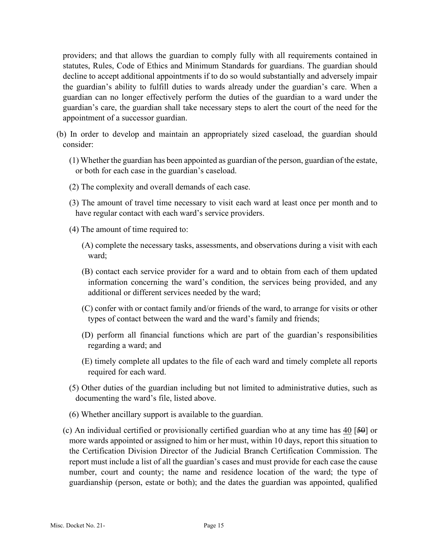providers; and that allows the guardian to comply fully with all requirements contained in statutes, Rules, Code of Ethics and Minimum Standards for guardians. The guardian should decline to accept additional appointments if to do so would substantially and adversely impair the guardian's ability to fulfill duties to wards already under the guardian's care. When a guardian can no longer effectively perform the duties of the guardian to a ward under the guardian's care, the guardian shall take necessary steps to alert the court of the need for the appointment of a successor guardian.

- (b) In order to develop and maintain an appropriately sized caseload, the guardian should consider:
	- (1) Whether the guardian has been appointed as guardian of the person, guardian of the estate, or both for each case in the guardian's caseload.
	- (2) The complexity and overall demands of each case.
	- (3) The amount of travel time necessary to visit each ward at least once per month and to have regular contact with each ward's service providers.
	- (4) The amount of time required to:
		- (A) complete the necessary tasks, assessments, and observations during a visit with each ward;
		- (B) contact each service provider for a ward and to obtain from each of them updated information concerning the ward's condition, the services being provided, and any additional or different services needed by the ward;
		- (C) confer with or contact family and/or friends of the ward, to arrange for visits or other types of contact between the ward and the ward's family and friends;
		- (D) perform all financial functions which are part of the guardian's responsibilities regarding a ward; and
		- (E) timely complete all updates to the file of each ward and timely complete all reports required for each ward.
	- (5) Other duties of the guardian including but not limited to administrative duties, such as documenting the ward's file, listed above.
	- (6) Whether ancillary support is available to the guardian.
	- (c) An individual certified or provisionally certified guardian who at any time has 40 [50] or more wards appointed or assigned to him or her must, within 10 days, report this situation to the Certification Division Director of the Judicial Branch Certification Commission. The report must include a list of all the guardian's cases and must provide for each case the cause number, court and county; the name and residence location of the ward; the type of guardianship (person, estate or both); and the dates the guardian was appointed, qualified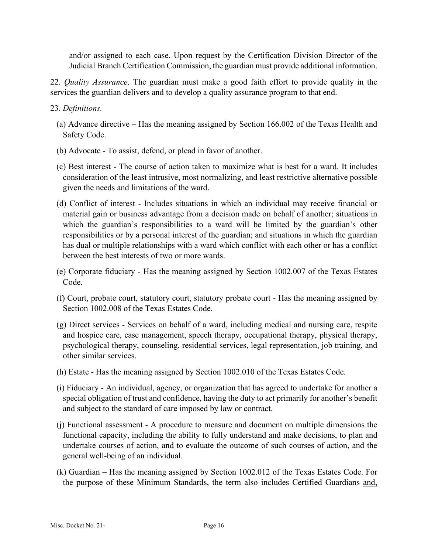and/or assigned to each case. Upon request by the Certification Division Director of the Judicial Branch Certification Commission, the guardian must provide additional information.

22. *Quality Assurance*. The guardian must make a good faith effort to provide quality in the services the guardian delivers and to develop a quality assurance program to that end.

### 23. *Definitions.*

- (a) Advance directive Has the meaning assigned by Section 166.002 of the Texas Health and Safety Code.
- (b) Advocate To assist, defend, or plead in favor of another.
- (c) Best interest The course of action taken to maximize what is best for a ward. It includes consideration of the least intrusive, most normalizing, and least restrictive alternative possible given the needs and limitations of the ward.
- (d) Conflict of interest Includes situations in which an individual may receive financial or material gain or business advantage from a decision made on behalf of another; situations in which the guardian's responsibilities to a ward will be limited by the guardian's other responsibilities or by a personal interest of the guardian; and situations in which the guardian has dual or multiple relationships with a ward which conflict with each other or has a conflict between the best interests of two or more wards.
- (e) Corporate fiduciary Has the meaning assigned by Section 1002.007 of the Texas Estates Code.
- (f) Court, probate court, statutory court, statutory probate court Has the meaning assigned by Section 1002.008 of the Texas Estates Code.
- (g) Direct services Services on behalf of a ward, including medical and nursing care, respite and hospice care, case management, speech therapy, occupational therapy, physical therapy, psychological therapy, counseling, residential services, legal representation, job training, and other similar services.
- (h) Estate Has the meaning assigned by Section 1002.010 of the Texas Estates Code.
- (i) Fiduciary An individual, agency, or organization that has agreed to undertake for another a special obligation of trust and confidence, having the duty to act primarily for another's benefit and subject to the standard of care imposed by law or contract.
- (j) Functional assessment A procedure to measure and document on multiple dimensions the functional capacity, including the ability to fully understand and make decisions, to plan and undertake courses of action, and to evaluate the outcome of such courses of action, and the general well-being of an individual.
- (k) Guardian Has the meaning assigned by Section 1002.012 of the Texas Estates Code. For the purpose of these Minimum Standards, the term also includes Certified Guardians and,